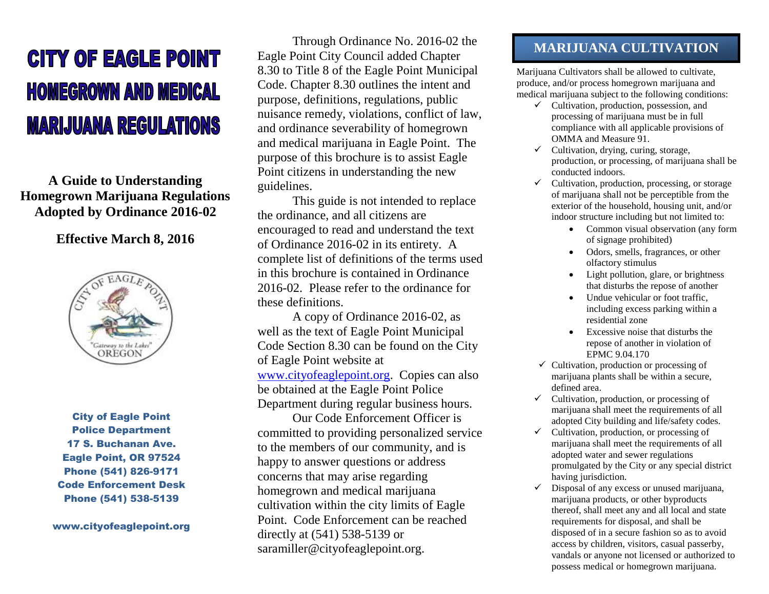# **CITY OF EAGLE POINT HOMEGROWN AND MEDICAL MARIJUANA REGULATIONS**

**A Guide to Understanding Homegrown Marijuana Regulations Adopted by Ordinance 2016-02**

### **Effective March 8, 2016**



City of Eagle Point Police Department 17 S. Buchanan Ave. Eagle Point, OR 97524 Phone (541) 826-9171 Code Enforcement Desk Phone (541) 538-5139

www.cityofeaglepoint.org

Through Ordinance No. 2016-02 the Eagle Point City Council added Chapter 8.30 to Title 8 of the Eagle Point Municipal Code. Chapter 8.30 outlines the intent and purpose, definitions, regulations, public nuisance remedy, violations, conflict of law, and ordinance severability of homegrown and medical marijuana in Eagle Point. The purpose of this brochure is to assist Eagle Point citizens in understanding the new guidelines.

This guide is not intended to replace the ordinance, and all citizens are encouraged to read and understand the text of Ordinance 2016-02 in its entirety. A complete list of definitions of the terms used in this brochure is contained in Ordinance 2016-02. Please refer to the ordinance for these definitions.

A copy of Ordinance 2016-02, as well as the text of Eagle Point Municipal Code Section 8.30 can be found on the City of Eagle Point website at [www.cityofeaglepoint.org.](http://www.cityofeaglepoint.org/) Copies can also be obtained at the Eagle Point Police Department during regular business hours.

Our Code Enforcement Officer is committed to providing personalized service to the members of our community, and is happy to answer questions or address concerns that may arise regarding homegrown and medical marijuana cultivation within the city limits of Eagle Point. Code Enforcement can be reached directly at (541) 538-5139 or saramiller@cityofeaglepoint.org.

# **MARIJUANA CULTIVATION**

Marijuana Cultivators shall be allowed to cultivate, produce, and/or process homegrown marijuana and medical marijuana subject to the following conditions:

- $\checkmark$  Cultivation, production, possession, and processing of marijuana must be in full compliance with all applicable provisions of OMMA and Measure 91.
- $\checkmark$  Cultivation, drying, curing, storage, production, or processing, of marijuana shall be conducted indoors.
- $\checkmark$  Cultivation, production, processing, or storage of marijuana shall not be perceptible from the exterior of the household, housing unit, and/or indoor structure including but not limited to:
	- Common visual observation (any form of signage prohibited)
	- Odors, smells, fragrances, or other olfactory stimulus
	- Light pollution, glare, or brightness that disturbs the repose of another
	- Undue vehicular or foot traffic. including excess parking within a residential zone
	- Excessive noise that disturbs the repose of another in violation of EPMC 9.04.170
- $\checkmark$  Cultivation, production or processing of marijuana plants shall be within a secure, defined area.
- $\checkmark$  Cultivation, production, or processing of marijuana shall meet the requirements of all adopted City building and life/safety codes.
- $\checkmark$  Cultivation, production, or processing of marijuana shall meet the requirements of all adopted water and sewer regulations promulgated by the City or any special district having jurisdiction.
- $\checkmark$  Disposal of any excess or unused marijuana, marijuana products, or other byproducts thereof, shall meet any and all local and state requirements for disposal, and shall be disposed of in a secure fashion so as to avoid access by children, visitors, casual passerby, vandals or anyone not licensed or authorized to possess medical or homegrown marijuana.